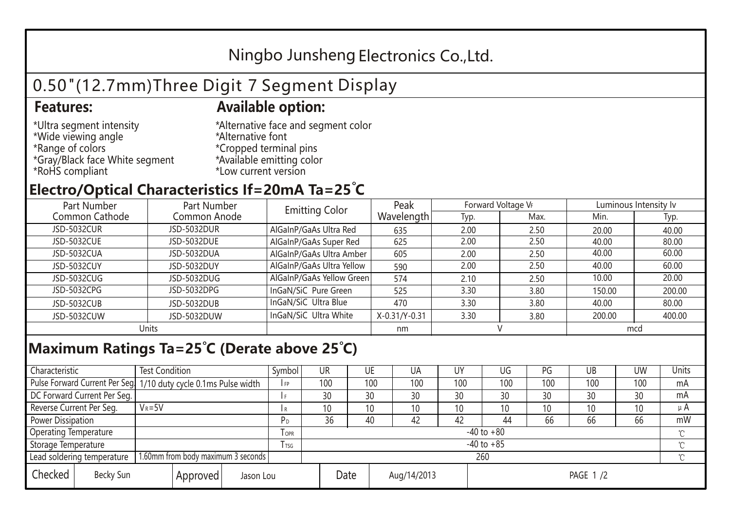## Ningbo Junsheng Electronics Co.,Ltd.

# 0.50"(12.7mm)Three Digit 7 Segment Display

### **Features: Available option:**

- \*Ultra segment intensity \*Wide viewing angle \*Range of colors \*Gray/Black face White segment \*RoHS compliant
- \*Alternative face and segment color \*Alternative font \*Cropped terminal pins \*Available emitting color \*Low current version

### **Electro/Optical Characteristics If=20mA Ta=25 C**

| Part Number<br>Part Number |              | <b>Emitting Color</b>     | Peak          | Forward Voltage VF |      | Luminous Intensity Iv |        |  |
|----------------------------|--------------|---------------------------|---------------|--------------------|------|-----------------------|--------|--|
| Common Cathode             | Common Anode |                           | Wavelength    | Typ.               | Max. | Min.                  | Typ.   |  |
| <b>JSD-5032CUR</b>         | JSD-5032DUR  | AlGaInP/GaAs Ultra Red    | 635           | 2.00               | 2.50 | 20.00                 | 40.00  |  |
| <b>JSD-5032CUE</b>         | JSD-5032DUE  | AlGaInP/GaAs Super Red    | 625           | 2.00               | 2.50 | 40.00                 | 80.00  |  |
| JSD-5032CUA                | JSD-5032DUA  | AlGaInP/GaAs Ultra Amber  | 605           | 2.00               | 2.50 | 40.00                 | 60.00  |  |
| JSD-5032CUY                | JSD-5032DUY  | AlGaInP/GaAs Ultra Yellow | 590           | 2.00               | 2.50 | 40.00                 | 60.00  |  |
| JSD-5032CUG                | JSD-5032DUG  | AlGaInP/GaAs Yellow Green | 574           | 2.10               | 2.50 | 10.00                 | 20.00  |  |
| JSD-5032CPG                | JSD-5032DPG  | InGaN/SiC Pure Green      | 525           | 3.30               | 3.80 | 150.00                | 200.00 |  |
| JSD-5032CUB                | JSD-5032DUB  | InGaN/SiC Ultra Blue      | 470           | 3.30               | 3.80 | 40.00                 | 80.00  |  |
| JSD-5032CUW                | JSD-5032DUW  | InGaN/SiC Ultra White     | X-0.31/Y-0.31 | 3.30               | 3.80 | 200.00                | 400.00 |  |
| Units                      |              |                           | nm            |                    |      | mcd                   |        |  |

### **Maximum Ratings Ta=25°C (Derate above 25°C)**

| Characteristic               |  | <b>Test Condition</b>                                            |                         |  | Symbol         | UR              |     | UE          | UA              | UY              | UG  | PG  | UB  | <b>UW</b> | Units   |
|------------------------------|--|------------------------------------------------------------------|-------------------------|--|----------------|-----------------|-----|-------------|-----------------|-----------------|-----|-----|-----|-----------|---------|
|                              |  | Pulse Forward Current Per Seg. 1/10 duty cycle 0.1ms Pulse width |                         |  | IFP            |                 | 100 | 100         | 100             | 100             | 100 | 100 | 100 | 100       | mA      |
| DC Forward Current Per Seg.  |  |                                                                  |                         |  | I F            |                 | 30  | 30          | 30              | 30              | 30  | 30  | 30  | 30        | mA      |
| Reverse Current Per Seg.     |  | $V_R = 5V$                                                       |                         |  | l R            |                 | 10  | 10          | 10 <sup>°</sup> | 10              | 10  | 10  | 10  | 10        | $\mu$ A |
| <b>Power Dissipation</b>     |  |                                                                  |                         |  |                |                 | 36  | 40          | 42              | 42              | 44  | 66  | 66  | 66        | mW      |
| <b>Operating Temperature</b> |  |                                                                  | <b>TOPR</b>             |  | $-40$ to $+80$ |                 |     |             |                 |                 |     |     |     |           |         |
| Storage Temperature          |  |                                                                  | <b>T</b> <sub>TSG</sub> |  | $-40$ to $+85$ |                 |     |             |                 |                 |     |     |     |           |         |
| Lead soldering temperature   |  | 1.60mm from body maximum 3 seconds                               |                         |  |                | 260<br>$\gamma$ |     |             |                 |                 |     |     |     |           |         |
| Checked<br>Becky Sun         |  | Approved                                                         | Jason Lou               |  |                | Date            |     | Aug/14/2013 |                 | <b>PAGE 1/2</b> |     |     |     |           |         |